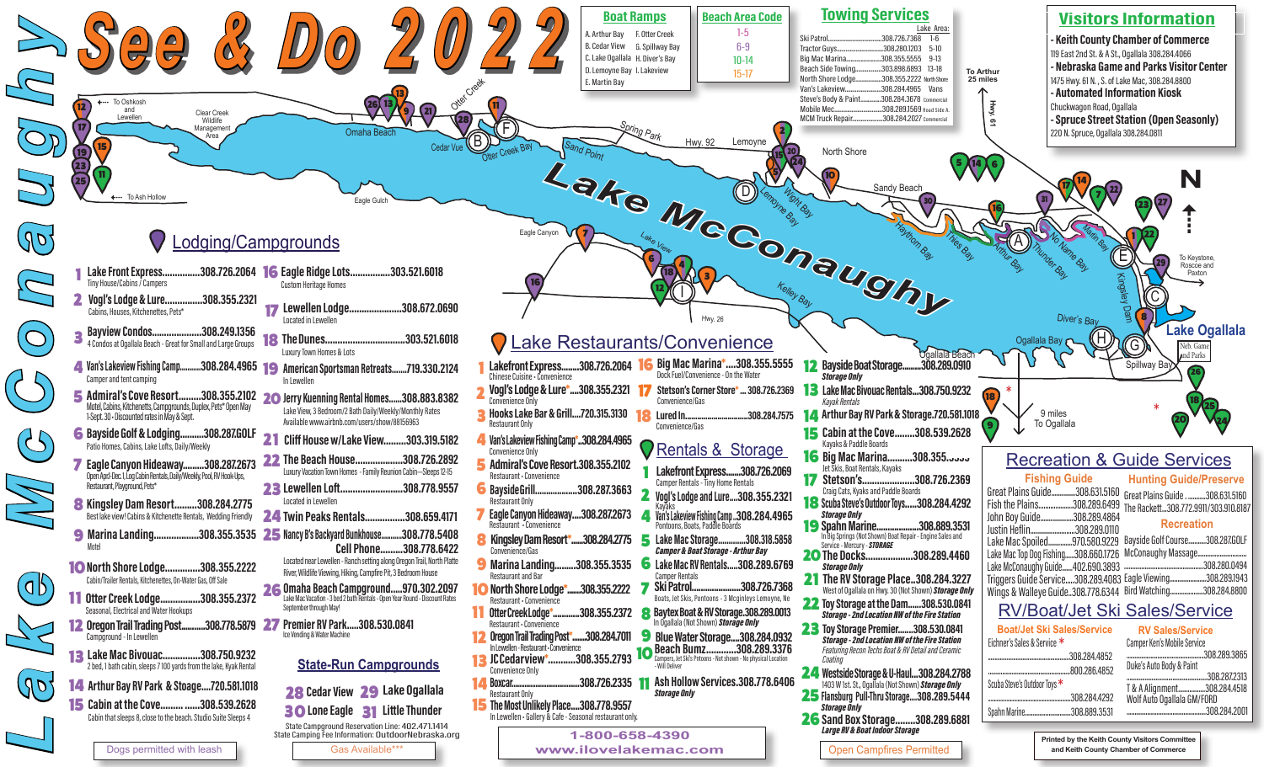